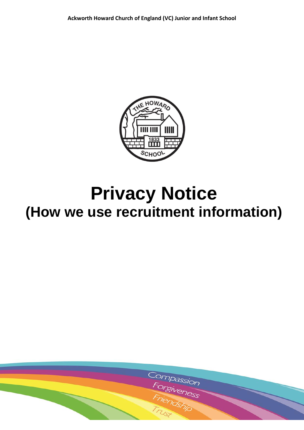

# **Privacy Notice (How we use recruitment information)**

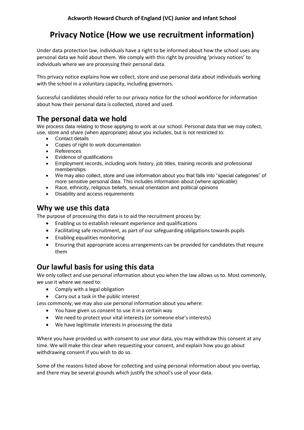## **Privacy Notice (How we use recruitment information)**

Under data protection law, individuals have a right to be informed about how the school uses any personal data we hold about them. We comply with this right by providing 'privacy notices' to individuals where we are processing their personal data.

This privacy notice explains how we collect, store and use personal data about individuals working with the school in a voluntary capacity, including governors.

Successful candidates should refer to our privacy notice for the school workforce for information about how their personal data is collected, stored and used.

## **The personal data we hold**

We process data relating to those applying to work at our school. Personal data that we may collect, use, store and share (when appropriate) about you includes, but is not restricted to:

- Contact details
- Copies of right to work documentation
- References
- Evidence of qualifications
- Employment records, including work history, job titles, training records and professional memberships
- We may also collect, store and use information about you that falls into "special categories" of more sensitive personal data. This includes information about (where applicable):
- Race, ethnicity, religious beliefs, sexual orientation and political opinions
- Disability and access requirements

### **Why we use this data**

The purpose of processing this data is to aid the recruitment process by:

- Enabling us to establish relevant experience and qualifications
- Facilitating safe recruitment, as part of our safeguarding obligations towards pupils
- Enabling equalities monitoring
- Ensuring that appropriate access arrangements can be provided for candidates that require them

## **Our lawful basis for using this data**

We only collect and use personal information about you when the law allows us to. Most commonly, we use it where we need to:

- Comply with a legal obligation
- Carry out a task in the public interest

Less commonly, we may also use personal information about you where:

- You have given us consent to use it in a certain way
- We need to protect your vital interests (or someone else's interests)
- We have legitimate interests in processing the data

Where you have provided us with consent to use your data, you may withdraw this consent at any time. We will make this clear when requesting your consent, and explain how you go about withdrawing consent if you wish to do so.

Some of the reasons listed above for collecting and using personal information about you overlap, and there may be several grounds which justify the school's use of your data.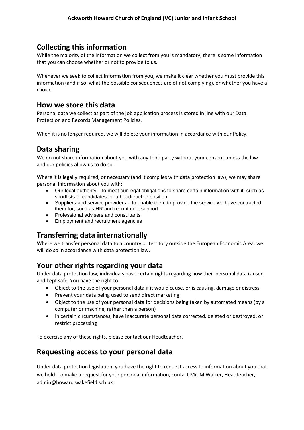#### **Collecting this information**

While the majority of the information we collect from you is mandatory, there is some information that you can choose whether or not to provide to us.

Whenever we seek to collect information from you, we make it clear whether you must provide this information (and if so, what the possible consequences are of not complying), or whether you have a choice.

#### **How we store this data**

Personal data we collect as part of the job application process is stored in line with our Data Protection and Records Management Policies.

When it is no longer required, we will delete your information in accordance with our Policy.

### **Data sharing**

We do not share information about you with any third party without your consent unless the law and our policies allow us to do so.

Where it is legally required, or necessary (and it complies with data protection law), we may share personal information about you with:

- Our local authority to meet our legal obligations to share certain information with it, such as shortlists of candidates for a headteacher position
- Suppliers and service providers to enable them to provide the service we have contracted them for, such as HR and recruitment support
- Professional advisers and consultants
- Employment and recruitment agencies

## **Transferring data internationally**

Where we transfer personal data to a country or territory outside the European Economic Area, we will do so in accordance with data protection law.

## **Your other rights regarding your data**

Under data protection law, individuals have certain rights regarding how their personal data is used and kept safe. You have the right to:

- Object to the use of your personal data if it would cause, or is causing, damage or distress
- Prevent your data being used to send direct marketing
- Object to the use of your personal data for decisions being taken by automated means (by a computer or machine, rather than a person)
- In certain circumstances, have inaccurate personal data corrected, deleted or destroyed, or restrict processing

To exercise any of these rights, please contact our Headteacher.

#### **Requesting access to your personal data**

Under data protection legislation, you have the right to request access to information about you that we hold. To make a request for your personal information, contact Mr. M Walker, Headteacher, admin@howard.wakefield.sch.uk